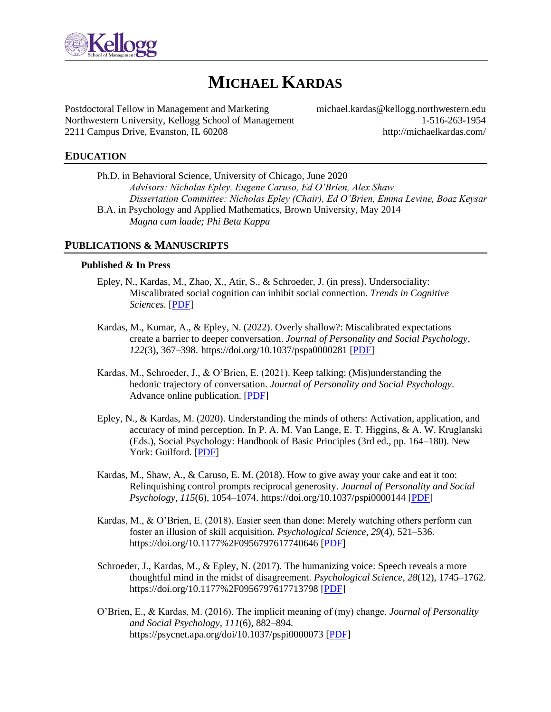

# **MICHAEL KARDAS**

Postdoctoral Fellow in Management and Marketing michael.kardas@kellogg.northwestern.edu Northwestern University, Kellogg School of Management 1-516-263-1954 2211 Campus Drive, Evanston, IL 60208 http://michaelkardas.com/

# **EDUCATION**

Ph.D. in Behavioral Science, University of Chicago, June 2020 *Advisors: Nicholas Epley, Eugene Caruso, Ed O'Brien, Alex Shaw Dissertation Committee: Nicholas Epley (Chair), Ed O'Brien, Emma Levine, Boaz Keysar* B.A. in Psychology and Applied Mathematics, Brown University, May 2014 *Magna cum laude; Phi Beta Kappa*

### **PUBLICATIONS & MANUSCRIPTS**

#### **Published & In Press**

- Epley, N., Kardas, M., Zhao, X., Atir, S., & Schroeder, J. (in press). Undersociality: Miscalibrated social cognition can inhibit social connection. *Trends in Cognitive Sciences*. [\[PDF\]](http://www.michaelkardas.com/uploads/5/3/8/7/53879579/epley_kardas_zhao_atir___schroeder__2022__undersociality.pdf)
- Kardas, M., Kumar, A., & Epley, N. (2022). Overly shallow?: Miscalibrated expectations create a barrier to deeper conversation. *Journal of Personality and Social Psychology*, *122*(3), 367–398. https://doi.org/10.1037/pspa0000281 [\[PDF\]](http://www.michaelkardas.com/uploads/5/3/8/7/53879579/kardas_kumar___epley__2022_.pdf)
- Kardas, M., Schroeder, J., & O'Brien, E. (2021). Keep talking: (Mis)understanding the hedonic trajectory of conversation. *Journal of Personality and Social Psychology*. Advance online publication. [\[PDF\]](http://www.michaelkardas.com/uploads/5/3/8/7/53879579/kardas_schroeder___obrien__2021_.pdf)
- Epley, N., & Kardas, M. (2020). Understanding the minds of others: Activation, application, and accuracy of mind perception. In P. A. M. Van Lange, E. T. Higgins, & A. W. Kruglanski (Eds.), Social Psychology: Handbook of Basic Principles (3rd ed., pp. 164–180). New York: Guilford. [\[PDF\]](http://www.michaelkardas.com/uploads/5/3/8/7/53879579/epley___kardas__in_press_.pdf)
- Kardas, M., Shaw, A., & Caruso, E. M. (2018). How to give away your cake and eat it too: Relinquishing control prompts reciprocal generosity. *Journal of Personality and Social Psychology*, *115*(6), 1054–1074. https://doi.org/10.1037/pspi0000144 [\[PDF\]](http://www.michaelkardas.com/uploads/5/3/8/7/53879579/kardas_shaw_caruso__2018_.pdf)
- Kardas, M., & O'Brien, E. (2018). Easier seen than done: Merely watching others perform can foster an illusion of skill acquisition. *Psychological Science, 29*(4), 521–536. https://doi.org/10.1177%2F0956797617740646 [\[PDF\]](http://www.michaelkardas.com/uploads/5/3/8/7/53879579/kardas___obrien__2018_.pdf)
- Schroeder, J., Kardas, M., & Epley, N. (2017). The humanizing voice: Speech reveals a more thoughtful mind in the midst of disagreement. *Psychological Science*, *28*(12), 1745–1762. https://doi.org/10.1177%2F0956797617713798 [\[PDF\]](http://www.michaelkardas.com/uploads/5/3/8/7/53879579/schroeder_kardas___epley__2017_.pdf)
- O'Brien, E., & Kardas, M. (2016). The implicit meaning of (my) change. *Journal of Personality and Social Psychology*, *111*(6), 882–894. https://psycnet.apa.org/doi/10.1037/pspi0000073 [\[PDF\]](http://www.michaelkardas.com/uploads/5/3/8/7/53879579/obrien___kardas__2016_.pdf)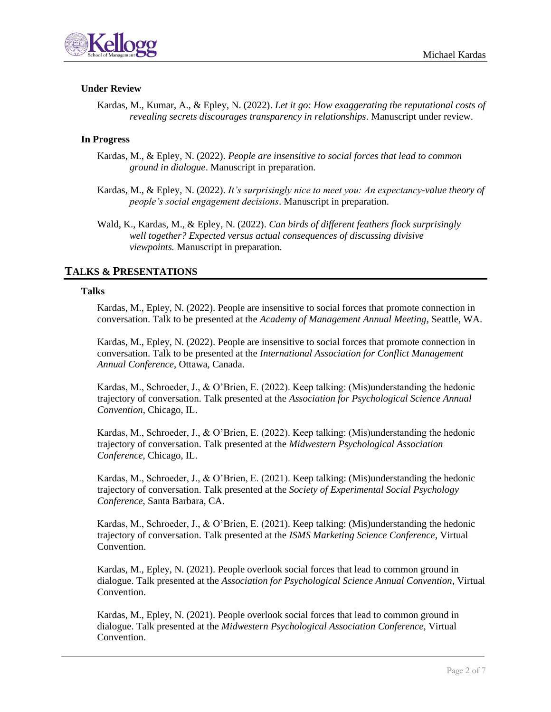

# **Under Review**

Kardas, M., Kumar, A., & Epley, N. (2022). *Let it go: How exaggerating the reputational costs of revealing secrets discourages transparency in relationships*. Manuscript under review.

### **In Progress**

- Kardas, M., & Epley, N. (2022). *People are insensitive to social forces that lead to common ground in dialogue*. Manuscript in preparation.
- Kardas, M., & Epley, N. (2022). *It's surprisingly nice to meet you: An expectancy-value theory of people's social engagement decisions*. Manuscript in preparation.
- Wald, K., Kardas, M., & Epley, N. (2022). *Can birds of different feathers flock surprisingly well together? Expected versus actual consequences of discussing divisive viewpoints.* Manuscript in preparation.

# **TALKS & PRESENTATIONS**

#### **Talks**

Kardas, M., Epley, N. (2022). People are insensitive to social forces that promote connection in conversation. Talk to be presented at the *Academy of Management Annual Meeting*, Seattle, WA.

Kardas, M., Epley, N. (2022). People are insensitive to social forces that promote connection in conversation. Talk to be presented at the *International Association for Conflict Management Annual Conference*, Ottawa, Canada.

Kardas, M., Schroeder, J., & O'Brien, E. (2022). Keep talking: (Mis)understanding the hedonic trajectory of conversation. Talk presented at the *Association for Psychological Science Annual Convention*, Chicago, IL.

Kardas, M., Schroeder, J., & O'Brien, E. (2022). Keep talking: (Mis)understanding the hedonic trajectory of conversation. Talk presented at the *Midwestern Psychological Association Conference*, Chicago, IL.

Kardas, M., Schroeder, J., & O'Brien, E. (2021). Keep talking: (Mis)understanding the hedonic trajectory of conversation. Talk presented at the *Society of Experimental Social Psychology Conference*, Santa Barbara, CA.

Kardas, M., Schroeder, J., & O'Brien, E. (2021). Keep talking: (Mis)understanding the hedonic trajectory of conversation. Talk presented at the *ISMS Marketing Science Conference*, Virtual Convention.

Kardas, M., Epley, N. (2021). People overlook social forces that lead to common ground in dialogue. Talk presented at the *Association for Psychological Science Annual Convention*, Virtual Convention.

Kardas, M., Epley, N. (2021). People overlook social forces that lead to common ground in dialogue. Talk presented at the *Midwestern Psychological Association Conference*, Virtual Convention.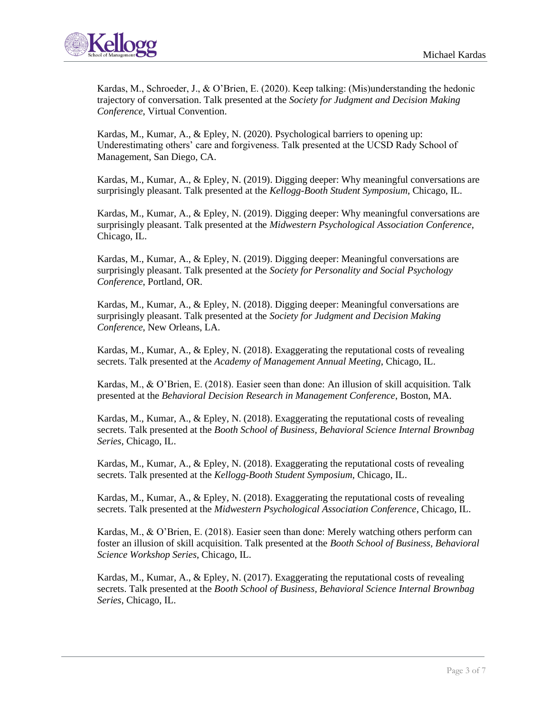

Kardas, M., Schroeder, J., & O'Brien, E. (2020). Keep talking: (Mis)understanding the hedonic trajectory of conversation. Talk presented at the *Society for Judgment and Decision Making Conference*, Virtual Convention.

Kardas, M., Kumar, A., & Epley, N. (2020). Psychological barriers to opening up: Underestimating others' care and forgiveness. Talk presented at the UCSD Rady School of Management, San Diego, CA.

Kardas, M., Kumar, A., & Epley, N. (2019). Digging deeper: Why meaningful conversations are surprisingly pleasant. Talk presented at the *Kellogg-Booth Student Symposium*, Chicago, IL.

Kardas, M., Kumar, A., & Epley, N. (2019). Digging deeper: Why meaningful conversations are surprisingly pleasant. Talk presented at the *Midwestern Psychological Association Conference*, Chicago, IL.

Kardas, M., Kumar, A., & Epley, N. (2019). Digging deeper: Meaningful conversations are surprisingly pleasant. Talk presented at the *Society for Personality and Social Psychology Conference*, Portland, OR.

Kardas, M., Kumar, A., & Epley, N. (2018). Digging deeper: Meaningful conversations are surprisingly pleasant. Talk presented at the *Society for Judgment and Decision Making Conference*, New Orleans, LA.

Kardas, M., Kumar, A., & Epley, N. (2018). Exaggerating the reputational costs of revealing secrets. Talk presented at the *Academy of Management Annual Meeting*, Chicago, IL.

Kardas, M., & O'Brien, E. (2018). Easier seen than done: An illusion of skill acquisition. Talk presented at the *Behavioral Decision Research in Management Conference*, Boston, MA.

Kardas, M., Kumar, A., & Epley, N. (2018). Exaggerating the reputational costs of revealing secrets. Talk presented at the *Booth School of Business, Behavioral Science Internal Brownbag Series*, Chicago, IL.

Kardas, M., Kumar, A., & Epley, N. (2018). Exaggerating the reputational costs of revealing secrets. Talk presented at the *Kellogg-Booth Student Symposium*, Chicago, IL.

Kardas, M., Kumar, A., & Epley, N. (2018). Exaggerating the reputational costs of revealing secrets. Talk presented at the *Midwestern Psychological Association Conference*, Chicago, IL.

Kardas, M., & O'Brien, E. (2018). Easier seen than done: Merely watching others perform can foster an illusion of skill acquisition. Talk presented at the *Booth School of Business, Behavioral Science Workshop Series*, Chicago, IL.

Kardas, M., Kumar, A., & Epley, N. (2017). Exaggerating the reputational costs of revealing secrets. Talk presented at the *Booth School of Business, Behavioral Science Internal Brownbag Series*, Chicago, IL.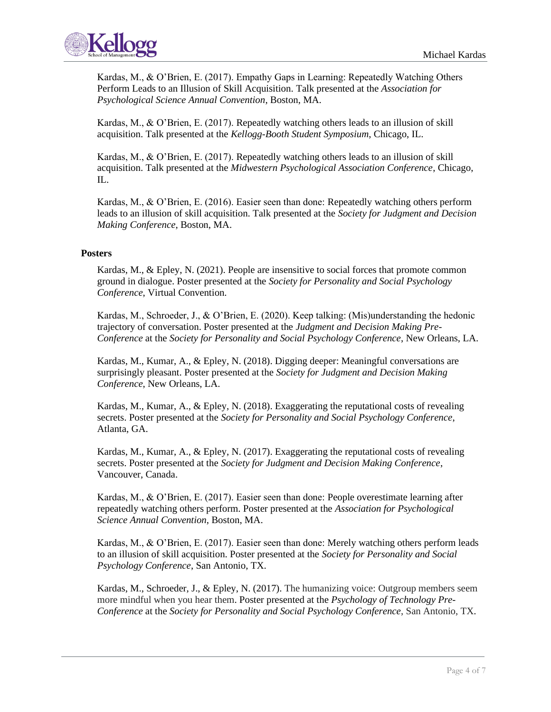

Kardas, M., & O'Brien, E. (2017). Empathy Gaps in Learning: Repeatedly Watching Others Perform Leads to an Illusion of Skill Acquisition. Talk presented at the *Association for Psychological Science Annual Convention*, Boston, MA.

Kardas, M., & O'Brien, E. (2017). Repeatedly watching others leads to an illusion of skill acquisition. Talk presented at the *Kellogg-Booth Student Symposium*, Chicago, IL.

Kardas, M., & O'Brien, E. (2017). Repeatedly watching others leads to an illusion of skill acquisition. Talk presented at the *Midwestern Psychological Association Conference*, Chicago, IL.

Kardas, M., & O'Brien, E. (2016). Easier seen than done: Repeatedly watching others perform leads to an illusion of skill acquisition. Talk presented at the *Society for Judgment and Decision Making Conference*, Boston, MA.

### **Posters**

Kardas, M., & Epley, N. (2021). People are insensitive to social forces that promote common ground in dialogue. Poster presented at the *Society for Personality and Social Psychology Conference*, Virtual Convention.

Kardas, M., Schroeder, J., & O'Brien, E. (2020). Keep talking: (Mis)understanding the hedonic trajectory of conversation. Poster presented at the *Judgment and Decision Making Pre-Conference* at the *Society for Personality and Social Psychology Conference*, New Orleans, LA.

Kardas, M., Kumar, A., & Epley, N. (2018). Digging deeper: Meaningful conversations are surprisingly pleasant. Poster presented at the *Society for Judgment and Decision Making Conference*, New Orleans, LA.

Kardas, M., Kumar, A., & Epley, N. (2018). Exaggerating the reputational costs of revealing secrets. Poster presented at the *Society for Personality and Social Psychology Conference*, Atlanta, GA.

Kardas, M., Kumar, A., & Epley, N. (2017). Exaggerating the reputational costs of revealing secrets. Poster presented at the *Society for Judgment and Decision Making Conference*, Vancouver, Canada.

Kardas, M., & O'Brien, E. (2017). Easier seen than done: People overestimate learning after repeatedly watching others perform. Poster presented at the *Association for Psychological Science Annual Convention*, Boston, MA.

Kardas, M., & O'Brien, E. (2017). Easier seen than done: Merely watching others perform leads to an illusion of skill acquisition. Poster presented at the *Society for Personality and Social Psychology Conference*, San Antonio, TX.

Kardas, M., Schroeder, J., & Epley, N. (2017). The humanizing voice: Outgroup members seem more mindful when you hear them. Poster presented at the *Psychology of Technology Pre-Conference* at the *Society for Personality and Social Psychology Conference*, San Antonio, TX.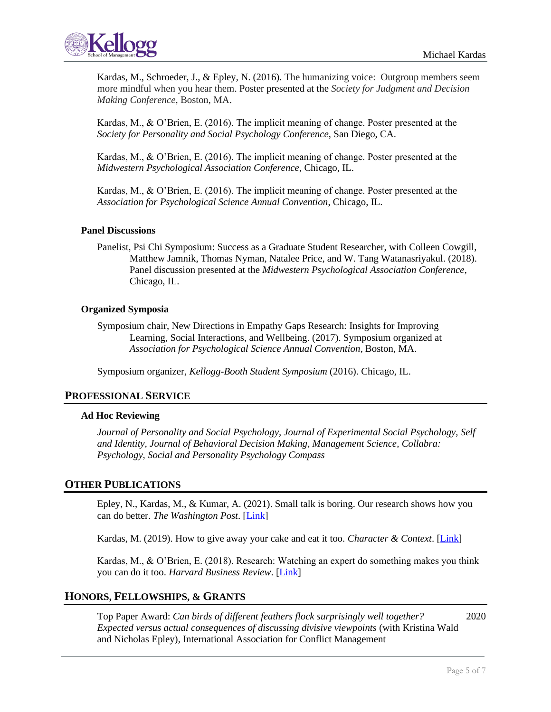



Kardas, M., Schroeder, J., & Epley, N. (2016). The humanizing voice: Outgroup members seem more mindful when you hear them. Poster presented at the *Society for Judgment and Decision Making Conference*, Boston, MA.

Kardas, M., & O'Brien, E. (2016). The implicit meaning of change. Poster presented at the *Society for Personality and Social Psychology Conference*, San Diego, CA.

Kardas, M., & O'Brien, E. (2016). The implicit meaning of change. Poster presented at the *Midwestern Psychological Association Conference*, Chicago, IL.

Kardas, M., & O'Brien, E. (2016). The implicit meaning of change. Poster presented at the *Association for Psychological Science Annual Convention*, Chicago, IL.

#### **Panel Discussions**

Panelist, Psi Chi Symposium: Success as a Graduate Student Researcher, with Colleen Cowgill, Matthew Jamnik, Thomas Nyman, Natalee Price, and W. Tang Watanasriyakul. (2018). Panel discussion presented at the *Midwestern Psychological Association Conference*, Chicago, IL.

#### **Organized Symposia**

Symposium chair, New Directions in Empathy Gaps Research: Insights for Improving Learning, Social Interactions, and Wellbeing. (2017). Symposium organized at *Association for Psychological Science Annual Convention*, Boston, MA.

Symposium organizer, *Kellogg-Booth Student Symposium* (2016). Chicago, IL.

### **PROFESSIONAL SERVICE**

#### **Ad Hoc Reviewing**

*Journal of Personality and Social Psychology, Journal of Experimental Social Psychology, Self and Identity, Journal of Behavioral Decision Making, Management Science, Collabra: Psychology, Social and Personality Psychology Compass*

### **OTHER PUBLICATIONS**

Epley, N., Kardas, M., & Kumar, A. (2021). Small talk is boring. Our research shows how you can do better. *The Washington Post*. [\[Link\]](https://www.washingtonpost.com/outlook/2021/10/13/posteverything-small-talk-deeper-conversations/)

Kardas, M. (2019). How to give away your cake and eat it too. *Character & Context*. [\[Link\]](http://www.michaelkardas.com/uploads/5/3/8/7/53879579/kardas__2019__character___context.pdf)

Kardas, M., & O'Brien, E. (2018). Research: Watching an expert do something makes you think you can do it too. *Harvard Business Review*. [\[Link\]](http://www.michaelkardas.com/uploads/5/3/8/7/53879579/kardas___obrien__2018__hbr.pdf)

# **HONORS, FELLOWSHIPS, & GRANTS**

Top Paper Award: *Can birds of different feathers flock surprisingly well together?* 2020 *Expected versus actual consequences of discussing divisive viewpoints* (with Kristina Wald and Nicholas Epley), International Association for Conflict Management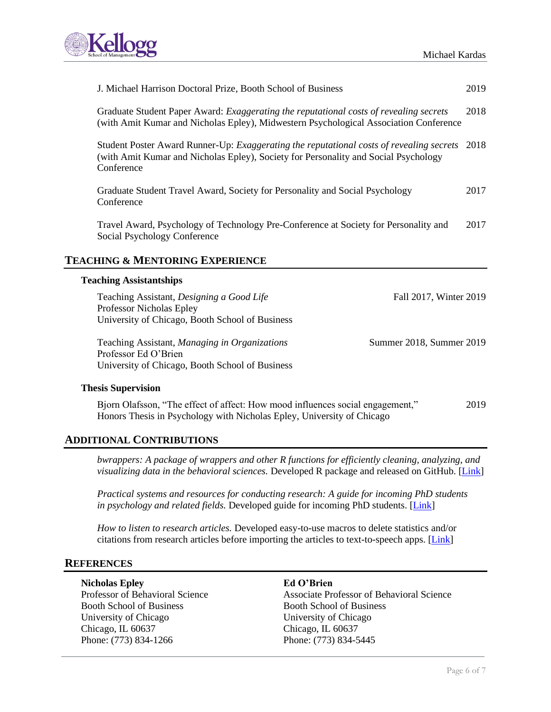

| J. Michael Harrison Doctoral Prize, Booth School of Business                                                                                                                                         | 2019 |
|------------------------------------------------------------------------------------------------------------------------------------------------------------------------------------------------------|------|
| Graduate Student Paper Award: <i>Exaggerating the reputational costs of revealing secrets</i><br>(with Amit Kumar and Nicholas Epley), Midwestern Psychological Association Conference               | 2018 |
| Student Poster Award Runner-Up: <i>Exaggerating the reputational costs of revealing secrets</i><br>(with Amit Kumar and Nicholas Epley), Society for Personality and Social Psychology<br>Conference | 2018 |
| Graduate Student Travel Award, Society for Personality and Social Psychology<br>Conference                                                                                                           | 2017 |
| Travel Award, Psychology of Technology Pre-Conference at Society for Personality and<br>Social Psychology Conference                                                                                 | 2017 |
| <b>TEACHING &amp; MENTORING EXPERIENCE</b>                                                                                                                                                           |      |
| <b>Teaching Assistantships</b>                                                                                                                                                                       |      |
| Teaching Assistant, Designing a Good Life<br>Fall 2017, Winter 2019<br><b>Professor Nicholas Epley</b>                                                                                               |      |

University of Chicago, Booth School of Business Teaching Assistant, *Managing in Organizations* Summer 2018, Summer 2019 Professor Ed O'Brien

University of Chicago, Booth School of Business

#### **Thesis Supervision**

Bjorn Olafsson, "The effect of affect: How mood influences social engagement," 2019 Honors Thesis in Psychology with Nicholas Epley, University of Chicago

# **ADDITIONAL CONTRIBUTIONS**

*bwrappers: A package of wrappers and other R functions for efficiently cleaning, analyzing, and visualizing data in the behavioral sciences.* Developed R package and released on GitHub. [\[Link\]](https://github.com/michaelkardas/bwrappers/blob/master/Overview.pdf)

*Practical systems and resources for conducting research: A guide for incoming PhD students in psychology and related fields.* Developed guide for incoming PhD students. [\[Link\]](http://www.michaelkardas.com/uploads/5/3/8/7/53879579/guide.pdf)

*How to listen to research articles.* Developed easy-to-use macros to delete statistics and/or citations from research articles before importing the articles to text-to-speech apps. [\[Link\]](https://docs.google.com/document/d/18sSJuDnU4Kx8LDQNyEL58BQUx79cTlVz9r_nhIRbvas/edit?usp=sharing)

## **REFERENCES**

#### **Nicholas Epley Ed O'Brien**

Booth School of Business Booth School of Business University of Chicago University of Chicago Chicago, IL 60637 Chicago, IL 60637 Phone: (773) 834-1266 Phone: (773) 834-5445

Professor of Behavioral Science Associate Professor of Behavioral Science